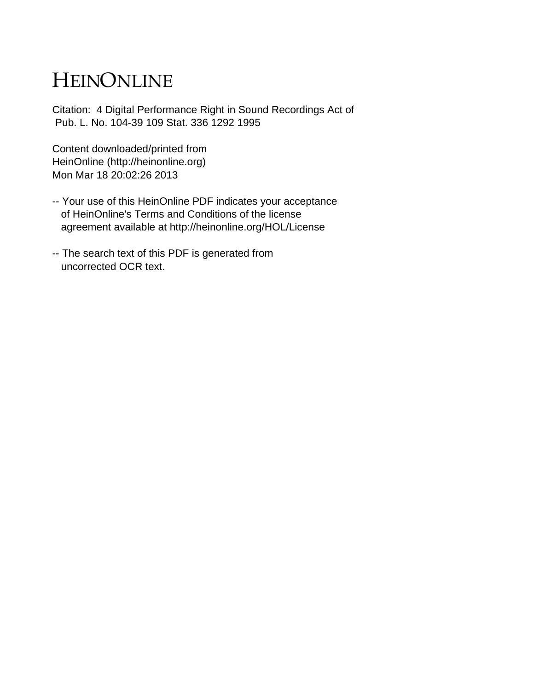## HEINONLINE

Citation: 4 Digital Performance Right in Sound Recordings Act of Pub. L. No. 104-39 109 Stat. 336 1292 1995

Content downloaded/printed from HeinOnline (http://heinonline.org) Mon Mar 18 20:02:26 2013

- -- Your use of this HeinOnline PDF indicates your acceptance of HeinOnline's Terms and Conditions of the license agreement available at http://heinonline.org/HOL/License
- -- The search text of this PDF is generated from uncorrected OCR text.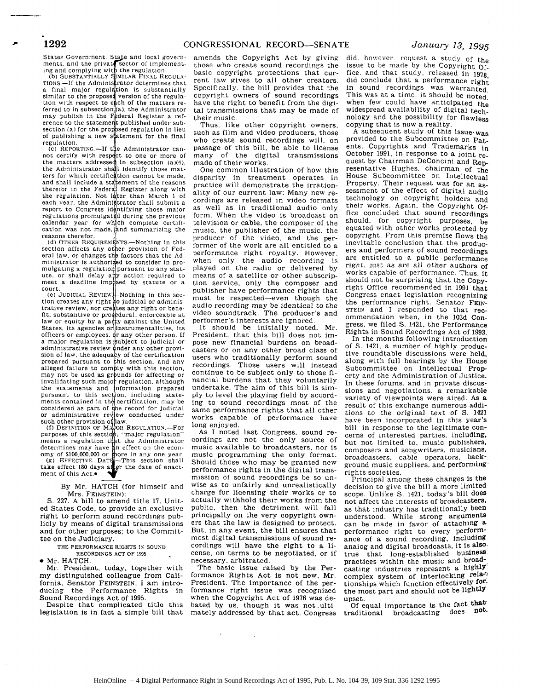States Government. State and local govern-<br>ments. and the privat¶sector of implement-

Ing and complying with the regulation.<br>(b) SUBSTANTIALLY SIMILAR FINAL REGULA-<br>TIONS.-If the Adminis rator determines that a final major regulation is substantially similar to the proposed version of the regula-<br>tion with respect to each of the matters referred to in subsection  $(a)$ , the Administrator may publish in the deral Register a ref-erence to the stateme **t** published under sub- $\frac{1}{2}$  section (a) for the proposed regulation in lieu of publishing a new statement for the final regulation.

**(c)** REPORTING.-If **t** e Administrator cannot certify with respect to one or more of the matters addressed in subsection (a)(4),<br>the Administrator shall identify those matters for which certification cannot be made. and shall include a statement of the reasons therefor in the Federal Register along with the regulation. Not later than March 1 of each year, the Administrator shall submit a report to Congress identifying those major regulations promulgatd during the previous calendar year for which complete certification was not made.  $\frac{1}{2}$ nd summarizing the reasons therefor.

(d) OTHER REQUIREMENTS.—Nothing in this section affects any other provision of Federal law. or changes the factors that the Administrator is authori<sub>zed</sub> to consider in promulgating a regulation pursuant to any statute, or shall delay any action required to meet a deadline imp sed by statute or a court.

**(e)** JUDICIAL REVIEW **-Nothing** in this section creates any right **,o** judicial or administrative review, nor creates any right or beneest that it is the controller at the substantive or procedural. enforceable at the United Shaw or equity by a party against the United States. Its agencies or instrumentalities, its<br>officers or employees.  $\oint r$  any other person. If officers or employees.  $\frac{1}{2}$  r any other person. If a major regulation is subject to judicial or administrative review .nder any other provision of law. the adequacy of the certification prepared pursuant to this section, and any alleged failure to comply with this section.<br>may not be used as grounds for affecting or invalidating such major regulation, although the statements and information prepared<br>pursuant to this section, including state-<br>ments contained in the certification. may be<br>considered as part of the record for judicial<br>or administrative review conducted under

such other provision of law.<br>(f) DEFINITION OF MAJOR REGULATION.-<del>F</del>o purposes of this section, "major regulation" means a regulation that the Administrator determines may have **an effect on the econ-** omy of **\$100.000.000** or **more** in any one year. **(g) EFFECTIVE DATE** -This section shall take effect 180 days after the date of enact-<br>ment of this Act.

## By Mr. HATCH (for himself and Mrs. FEINSTEIN):

S. 227. A bill to amend title **17.** United States Code, to provide an exclusive right to perform sound recordings publicly by means of digital transmissions and for other purposes; to the Committee on the Judiciary.

> THE PERFORMANCE **RIGHTS IN SOUND** RECORDINGS **ACT** OF **1095**

**0** Mr. HATCH.

Mr. President, today, together with my distinguished colleague from California, Senator FEINSTEIN, I am introducing the Performance Rights in Sound Recordings Act of 1995.

Despite that complicated title this legislation is in fact a simple bill that amends the Copyright Act by giving those who create sound recordings the basic copyright protections that current law gives to all other creators. Specifically. the bill provides that the copyright owners of sound recordings have the right to benefit from the digital transmissions that may be made of their music.

Thus. like other copyright owners. such as film and video producers, those who create sound recordings will, on passage of this bill, be able to license many of the digital transmissions made of their works.

One common illustration of how this disparity in treatment operates in practice will demonstrate the irrationality of our current law: Many new recordings are released in video formats as well as in traditional audio only form. When the video is broadcast on television or cable, the composer of the music, the publisher of the music, the producer of the video, and the performer of the work are all entitled to a performance right royalty. However. when only the audio recording is played on the radio or delivered by means of a satellite or other subscription service, only the composer and publisher have performance rights that must be respected-even though the audio recording may be identical to the video soundtrack. The producer's and performer's interests are ignored.

It should be initially noted, Mr. President. that this bill does not impose new financial burdens on broadcasters or on any other broad class of users who traditionally perform sound recordings. Those users will instead continue to be subject only to those financial burdens that they voluntarily undertake. The aim of this bill is simply to level the playing field by according to sound recordings most of the same performance rights that all other works capable of performance have long enjoyed.

As I noted last Congress, sound recordings are not the only source of music available to broadcasters, nor is music programming the only format. Should those who may be granted new performance rights in the digital transmission of sound recordings be so unwise as to unfairly and unrealistically charge for licensing their works or to actually withhold their works from the public, then the detriment will fall principally on the very copyright owners that the law is designed to protect. But, in any event, the bill ensures that most digital transmissions of sound recordings will have the right to a license, on terms to be negotiated, or if necessary, arbitrated.

The basic issue raised by the Performance Rights Act is not new, Mr. President. The importance of the performance right issue was recognized when the Copyright Act of 1976 was debated by us, though it was not ultimately addressed by that act. Congress

 $\mathbb{R}^2$ 

did. however. request a study of the issue to be made by the Copyright **Of**fice. and that study, released in 1978, did conclude that a performance right in sound recordings was warranted. This was at a time, it should be noted. when few could have anticipated the widespread availability of digital technology and the possibility for flawless copying that is now a reality.

A subsequent study of this issue-was provided to the Subcommittee on Patents. Copyrights and Trademarks in October 1991, in response to a joint request by Chairman DeConcini and Representative Hughes, chairman of the House Subcommittee on Intellectual Property. Their request was for an assessment of the effect of digital audio technology on copyright holders and their works. Again, the Copyright Office concluded that sound recordings should, for copyright purposes, be equated with other works protected by copyright. From this premise flows the inevitable conclusion that the producers and performers of sound recordings are entitled to a public performance right, just as are all other authors of works capable of performance. Thus, it should not be surprising that the Copyright Office recommended in 1991 that Congress enact legislation recognizing the performance right. Senator FEIN-STEIN and I responded to that recommendation when, in the 103d Congress, we filed **S.** 1421, the Performance Rights in Sound Recordings Act of 1993.

In the months following introduction of **S.** 1421, a number of highly productive roundtable discussions were held, along with full hearings by the House Subcommittee on Intellectual Property and the Administration of Justice. In these forums, and in private discussions and negotiations, a remarkable variety of viewpoints were aired. As a result of this exchange numerous additions to the original text of **S.** <sup>1421</sup> have been incorporated in this year's bill. in response to the legitimate concerns of interested parties, including, but not limited to, music publishers, composers and songwriters, musicians, broadcasters, cable operators, background music suppliers, and performing rights societies.

Principal among these changes is the decision to give the bill a more limited scope. Unlike **S.** 1421, today's bill does not affect the interests of broadcasters, as that industry has traditionally been understood. While strong arguments can be made in favor of attaching a performance right to every performance of a sound recording, including analog and digital broadcasts, it is also. true that long-established business practices within the music and broadcasting industries represent a highlY complex system of interlocking relationships which function effectively forthe most part and should not be lightly upset.

Of equal importance is the fact that traditional broadcasting does not.

## **1292**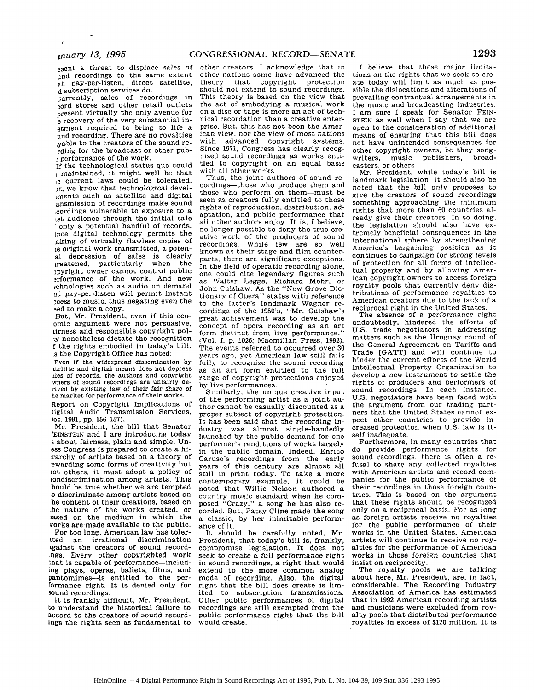und recordings to the same extent at pay-per-listen, direct satellite, **,d** subscription services do.

Currently, sales of recordings in cord stores and other retail outlets present virtually the only avenue for e recovery of the very substantial instment required to bring to life a und recording. There are no royalties ,yable to the creators of the sound re- ,rdirig for the broadcast or other pubperformance of the work.

If the technological status quo could maintained, it might well be that .e current laws could be tolerated. it, we know that technological devel-)ments such as satellite and digital ansmission of recordings make sound :cordings vulnerable to exposure to a Lst audience through the initial sale **.** only a potential handful of records. ince digital technology permits the aking of virtually flawless copies of ie original work transmitted, a potenal depression of sales is clearly ireatened, particularly when the )pyright owner cannot control public -rformance of the work. And new ,chnologies such as audio on demand rd pay-per-listen will permit instant -cess to music, thus negating even the eed to make a copy.

But, Mr. President, even if this ecoomic argument were not persuasive, irness and responsible copyright pol- •y nonetheless dictate the recognition f the rights embodied in today's bill. .s the Copyright Office has noted:

Even If the widespread dissemination **by** itellite and digital means does not depress<br>ales of records, the authors and copyright wners of sound recordings are unfairly de-<br>rived by existing law of their fair share of he market for performance of their works.

Report on Copyright Implications of )igital Audio Transmission Services, ict. 1991, pp. 156-157).

Mr. President, the bill that Senator 'EINSTEIN and I are introducing today s about fairness, plain and simple. Uness Congress is prepared to create a hi rarchy of artists based on a theory of ewarding some forms of creativity but iot others, it must adopt a policy of iondiscrimination among artists. This hould be true whether we are tempted ;o discriminate among artists based on he content of their creations, based on ;he nature of the works created, or )ased on the medium in which the works are made available to the public.

For too long, American law has tolertted an irrational discrimination tgainst the creators of sound record- .ngs. Every other copyrighted work that is capable of performance-includ-.ng plays, operas, ballets, films, and pantomimes-is entitled to the performance right. It is denied only for sound recordings.

It is frankly difficult, Mr. President, to understand the historical failure to accord to the creators of sound recordings the rights seen as fundamental to

esent a threat to displace sales of other creators. I acknowledge that in other nations some have advanced the<br>theory that convright protection that copyright protection should not extend to sound recordings. This theory is based on the view that the act of embodying a musical work on a disc or tape is more an act of technical recordation than a creative enterprise. But, this has not been the American view, nor the view of most nations with advanced copyright systems. Since 1971, Congress has clearly recognized sound recordings as works entitled to copyright on an equal basis with all other works.

Thus, the joint authors of sound recordings-those who produce them and those who perform on them-must be seen as creators fully entitled to those rights of reproduction, distribution, adaptation, and public performance that all other authors enjoy. It is, I believe, no longer possible to deny the true creative work of the producers of sound recordings. While few are so well known as their stage and film counterparts, there are significant exceptions. In the field of operatic recording alone, one could cite legendary figures such as Walter Legge, Richard Mohr, or John Culshaw. As the "New Grove Dictionary of Opera" states with reference to the latter's landmark Wagner recordings of the 1950's, "Mr. Culshaw's great achievement was to develop the concept of opera recording as an art form distinct from live performance.' (Vol. **1,** p. 1026; Macmillan Press, 1992). The events referred to occurred over 30 years ago, yet American law still fails fully to recognize the sound recording as an art form entitled to the full range of copyright protections enjoyed by live performances.

Similarly, the unique creative input of the performing artist as a joint author cannot be casually discounted as a proper subject of copyright protection. It has been said that the recording industry was almost single-handedly launched by the public demand for one performer's renditions of works largely in the public domain. Indeed, Enrico Caruso's recordings from the early years of this century are almost all still in print today. To take a more contemporary example, it could be noted that Willie Nelson authored a country music standard when he composed "Crazy," a song he has also recorded. But, Patsy Cline made the song a classic, by her inimitable performance of it.

It should be carefully noted, Mr. President, that today's bill is, frankly, compromise legislation. It does not seek to create a full performance right in sound recordings, a right that would extend to the more common analog mode of recording. Also, the digital right that the bill does create is limited to subscription transmissions. Other public performances of digital recordings are still exempted from the public performance right that the bill would create.

I believe that these major limitations on the rights that we seek to create today will limit as much as possible the dislocations and alterations of prevailing contractual arrangements in the music and broadcasting industries. I am sure I speak for Senator FEIN-STEIN as well when I say that we are open to the consideration of additional means of ensuring that this bill does not have unintended consequences for other copyright owners, be they song-<br>writers music publishers broadwriters, music publishers, casters, or others.

Mr. President, while today's bill is landmark legislation, it should also be noted that the bill only proposes to give the creators of sound recordings something approaching the minimum rights that more than 60 countries already give their creators. In so doing, the legislation should also have extremely beneficial consequences in the international sphere by strengthening America's bargaining position as it continues to campaign for strong levels of protection for all forms of intellectual property and by allowing American copyright owners to access foreign royalty pools that currently deny distributions of performance royalties to American creators due to the lack of a reciprocal right in the United States.

The absence of a performance right undoubtedly, hindered the efforts of U.S. trade negotiators in addressing matters such as the Uruguay round of the General Agreement on Tariffs and Trade [GATT] and will continue to hinder the current efforts of the World Intellectual Property Organization to develop a new instrument to settle the rights of producers and performers of sound recordings. In each instance, U.S. negotiators have been faced with the argument from our trading partners that the United States cannot expect other countries to provide increased protection when U.S. law is itself inadequate.

Furthermore, in many countries that do provide performance rights for sound recordings, there is often a refusal to share any collected royalties with American artists and record companies for the public performance of their recordings in those foreign countries. This is based on the argument that these rights should be recognized only on a reciprocal basis. For as long as foreign artists receive no royalties for the public performance of their works in the United States, American artists will continue to receive no royalties for the performance of American works in those foreign countries that insist on reciprocity.

The royalty pools we are talking about here, Mr. President, are, in fact, considerable. The Recording Industry Association of America has estimated that in 1992 American recording artists and musicians were excluded from royalty pools that distributed performance royalties in excess of \$120 million. It is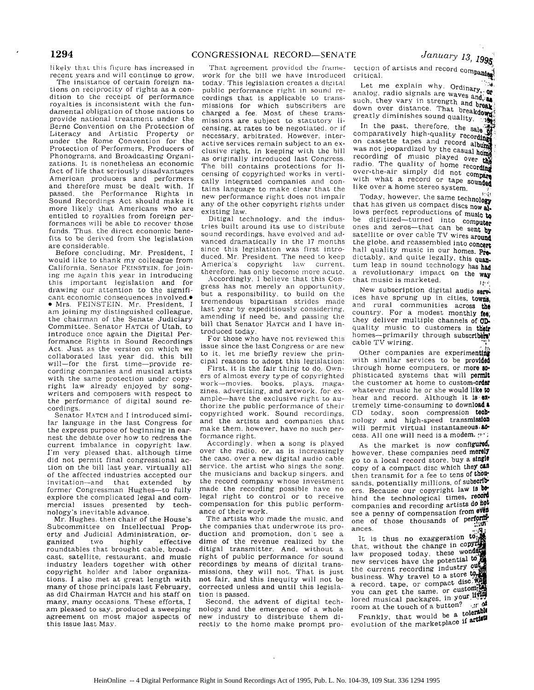likely that this figure has increased in recent years and will continue to grow.

The insistance of certain foreign nations on reciprocity of rights as a condition to the receipt of performance royalties is inconsistent with the fundamental obligation of those nations to provide national treatment under the Berne Convention on the Protection of Literacy and Artistic Property or under the Rome Convention for the Protection of Performers. Producers of Phonograms. and Broadcasting Organizations. It is nonetheless an economic fact of life that seriously disadvantages American producers and performers and therefore must be dealt with. If passed, the Performance Rights in Sound Recordings Act should make it more likely that Americans who are entitled to royalties from foreign performances will be able to recover those funds. Thus. the direct economic benefits to be derived from the legislation are considerable.

Before concluding, Mr. President, I would like to thank my colleague from California. Senator FEINSTEIN. for joining me again this year in introducing this important legislation and for drawing our attention to the significant economic consequences involved.<sup>•</sup>  $\bullet$  Mrs. FEINSTEIN. Mr. President, I am joining my distinguished colleague, the chairman of the Senate Judiciary Committee. Senator HATCH of Utah, to introduce once again the Digital Performance Rights in Sound Recordings Act. Just as the version on which we collaborated last year did. this bill will-for the first time-provide recording companies and musical artists with the same protection under copyright law already enjoyed by songwriters and composers with respect to the performance of digital sound recordings.

Senator HATCH and I introduced similar language in the last Congress for the express purpose of beginning in earnest the debate over how to redress the current imbalance in copyright law. I'm very pleased that, although time did not permit final congressional action on the bill last year. virtually all of the affected industries accepted our invitation-and that extended by former Congressman Hughes-to fully explore the complicated legal and commercial issues presented by technology's inevitable advance.

Mr. Hughes. then chair of the House's Subcommittee on Intellectual Property and Judicial Administration, organized two highly effective roundtables that brought cable, broadcast, satellite, restaurant, and music industry leaders together with other copyright holder and labor organizations. I also met at great length with many of those principals last February, as did Chairman **IHATCH** and his staff on many, many occasions. These efforts, I am pleased to say. produced a sweeping agreement on most major aspects of this issue last May.

That agreement provided the framework *for* the bill we have intioduced today. This legislation creates a digital public performance right in sound recordings that is applicable to transmissions for which subscribers are charged a fee. Most of these transmissions are subject to statutory licensing. at rates to be negotiated, or if necessary, arbitrated. However, interactive services remain subject to an exclusive right, in keeping with the bill as originally introduced last Congress. The bill contains protections for licensing of copyrighted works in vertically integrated companies and contains language to make clear that the new performance right does not impair any of the other copyright rights under existing law.

Ditigal technology. and the industries built around its use to distribute sound recordings, have evolved and advanced dramatically in the 17 months since this legislation was first introduced. Mr. President. The need to keep America's copyright law current. therefore. has only become more acute.

Accordingly, I believe that this Congress has not merely an opportunity, but a responsibility, to build on the tremendous bipartisan strides made last year by expeditiously considering. amending if need be. and passing the bill that Senator HATCH and I have introduced today.

For those who have not reviewed this issue since the last Congress or are new to it. let me briefly review the principal reasons to adopt this legislation:

First. it is the fair thing to do. Owners of almost every type of copyrighted work-movies, books. plays, magazines, advertising, and artwork. for example-have the exclusive right to authorize the public performance of their copyrighted work. Sound recordings. and the artists and companies that make them. however, have no such performance right.

Accordingly. when a song is played over the radio, or, as is increasingly the case, over a new digital audio cable service, the artist who sings the song. the musicians and backup singers. and the record company whose investment made the recording possible have no legal right to control or to receive compensation for this public performance of their work.

The artists who made the music, and the companies that underwrote its production and promotion, don t see a dime of the revenue realized by the ditigal transmitter. And, without a right of public performance for sound recordings by means of digital transmissions, they will not. That is just not fair, and this inequity will not be corrected unless and until this legislation is passed.

Second. the advent of digital technology and the emergence of a whole new industry to distribute them directly to the home make prompt pro-

tection of artists and record comm critical.

Let me explain why. Ordinary,  $\frac{3}{100}$ Let me  $\varepsilon_1$ ,  $\varepsilon_2$ ,  $\varepsilon_3$ ,  $\varepsilon_4$ ,  $\varepsilon_5$ ,  $\varepsilon_6$ ,  $\varepsilon_7$ ,  $\varepsilon_8$ , such, they vary in strength and break. such, they vary in Streague and **over the right**<br>down over distance. That breakdown<br>greatly diminishes sound quality.

In the past, therefore, the sale of comparatively high-quality recording on cassette tapes and record album was not jeopardized by the casual home was not recording of music played over the recording of mass called the recording radio. The quality of home recording over-the-air simply did not compare over-the-the strikes for the sounded like over a home stereo system.

Today, however, the same technology that has given us compact discs now **al.** lows perfect reproductions of music to be digitized-turned into computer<br>ones and zeros-that can be sent by satellite or over cable TV wires around the globe, and reassembled into concert hall quality music in our homes. **Pe.** dictably, and quite legally, this quan. turn leap in sound technology has **had** a revolutionary impact on the **way** that music is marketed.  $\mathbf{H}^{(i)}$ 

New subscription digital audio services have sprung up in cities, towns. and rural communities across **the** country. For a modest monthly **fee,** they deliver multiple channels of **CD**. quality music to customers in **their** homes-primarily through subscribers' cable TV wiring.

Other companies are experimenting with similar services to be provided through home computers, or more **so-**<br>phisticated systems that will permit the customer at home to custom-order whatever music he or she would like to hear and record. Although it Is **OX,** tremely time-consuming to download & CD today, soon compression **tech**nology and high-speed transmission will permit virtual instantaneous, **0** cess. All one will need is a modem. : "

As the market is now configured, however, these companies need **merely** go to a local record store. buy a single copy of a compact disc which they can then transmit for a fee to tens of **thiu** sands, potentially millions, of subscribers. Because our copyright law is behind the technological times, record companies and recording artists do not see a penny of compensation from even one of those thousands of **perform** ances.

It is thus no exaggeration  $\omega$ that, without the change in *copYl* law proposed today, these wond new services have the potential to the current recording industry **PU** business. Why travel to a store **t9o** a record, tape, or compact discyou can get the same. or customf lored musical packages, in your  $\mathbf{H}_{i}^{\text{out}}$ room at the touch of a button? **:f**  $\alpha^{\sharp}$ Frankly, that would be a tolerable evolution of the marketplace if artist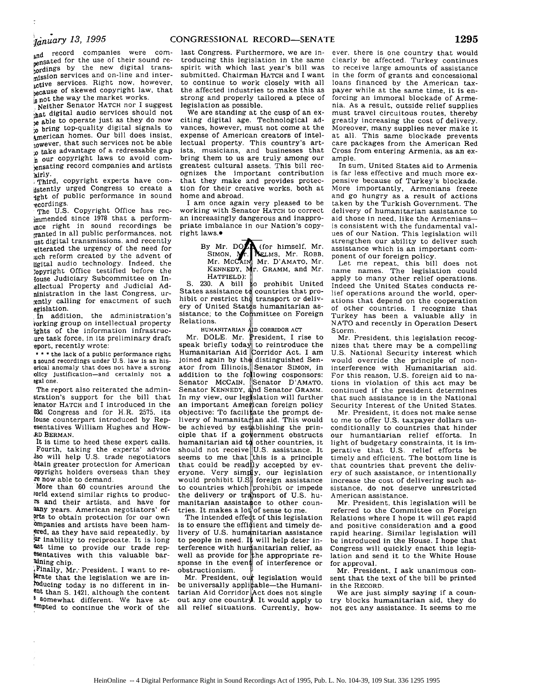and record companies were compensated for the use of their sound **rebordings** by the new digital transpjssion services and on-line and interactive services. Right now, however, because of skewed copyright law, that **ls not the way the market works.** 

**,** Neither Senator HATCH nor I suggest that digital audio services should not be able to operate just as they do now **.o** bring top-quality digital signals to American homes. Our bill does insist, lowever, that such services not be able **;o** take advantage of a redressable gap **h** our copyright laws to avoid com ensating record companies and artists irly.

**.**Third, copyright experts have conistently urged Congress to create a ight of public performance in sound ,ecordings.

The U.S. Copyright Office has rec-}Mmended since 1978 that a performmce right in sound recordings be ,ranted in all public performances, not ust digital transmissions, and recently eiterated the urgency of the need for uch reform created by the advent of igital audio technology. Indeed. the ;opyright Office testified before the {ouse Judiciary Subcommittee on In ellectual Property and Judicial Adninistration in the last Congress, urgently calling for enactment of such egislation.

In addition, the administration's vorking group on intellectual property ights of the information infrastrucure task force, in its preliminary draft eport, recently wrote:

**\* \*** \* the lack of a public performance right **a** sound recordings under U.S. law is an hisorical anomaly that does not have a strong<br>olicy justification--and certainly not a egal one.

The report also reiterated the adminstration's support for the bill that ;enator HATCH and I introduced in the 03d Congress and for H.R. 2575. its louse counterpart introduced by Repesentatives William Hughes and How-XD BERMAN.

It is time to heed these expert calls. Fourth, taking the experts' advice **0so** will help U.S. trade negotiators btain greater protection for American Opyright holders overseas than they re now able to demand.

More than 60 countries around the vorld extend similar rights to products and their artists, and have for flany years. American negotiators' ef- ?rts to obtain protection for our own Ompanies and artists have been ham ered, as they have said repeatedly, by Ur inability to reciprocate. It is long ast time to provide our trade repesentatives with this valuable bar aining chip.

tFinally, Mr.- President. I want to relerate that the legislation we are inducing today is no different in inent than S. 1421. although the content <sup>8</sup> Somewhat different. We have atempted to continue the work of the

last Congress. Furthermore, we are introducing this legislation in the same spirit with which last year's bill was submitted. Chairman HATCH and I want to continue to work closely with all the affected industries to make this as strong and properly tailored a piece of legislation as possible.

We are standing at the cusp of an exciting digital age. Technological advances, however, must not come at the expense of American creators of intellectual property. This country's artists, musicians, and businesses that bring them to us are truly among our greatest cultural assets. This bill recognizes the important contribution that they make and provides protection for their creative works, both at home and abroad.

I am once again very pleased to be working with Senator HATCH tO correct an increasingly dangerous and inappropriate imbalance in our Nation's copyright laws.<sup>.</sup>

> By Mr. DO $\sum$  (for himself, Mr. SIMON, Mr. RELMS, Mr. ROBB. Mr. MCCAIN, Mr. D'AMATO, Mr. KENNEDY, Mr. GRAMM, and Mr.

HATFIELD): **S.** 230. A bill o prohibit United States assistance to countries that prohibit or restrict the transport or delivery of United States humanitarian assistance; to the Committee on Foreign Relations.

HUMANITARIAN AD CORRIDOR ACT

Mr. DOLE. Mr. President, I rise to speak briefly today to reintroduce the Humanitarian Aid Dorridor Act. I am joined again by the distinguished Sen-<br>ator from Illinois, Senator SIMON, in addition to the following cosponsors: Senator McCAIN, Senator D'AMATO Senator KENNEDY, and Senator GRAMM In my view, our legislation will further an important American foreign policy objective: To facili ate the prompt delivery of humanitarian aid. This would be achieved by establishing the principle that if a government obstructs humanitarian aid to other countries, it should not receive  $\vert U.S.$  assistance. It seems to me that this is a principle that could be readily accepted by  $ev$ eryone. Very simply, our legislation would prohibit  $\text{U.S}$  foreign assistance to countries which prohibit or impede the delivery or transport of U.S. humanitarian assistance to other countries. It makes a lot of sense to me.<br>The intended effect of this legislation

The intended effedt of this legislation<br>is to ensure the efficient and timely delivery of U.S. humanitarian assistance to people in need. It will help deter interference with humanitarian relief, as well as provide for the appropriate response in the event of interference or obstructionism.

Mr. President, our legislation would be universally applicable-the Humanitarian Aid Corridor  $Act$  does not single out any one country. It would apply to all relief situations. Currently, how-

ever, there is one country that would clearly be affected. Turkey continues to receive large amounts of assistance in the form of grants and concessional loans financed by the American taxpayer while at the same time, it is enforcing an immoral blockade of Armenia. As a result, outside relief supplies must travel circuitous routes, thereby greatly increasing the cost of delivery. Moreover, many supplies never make it at all. This same blockade prevents care packages from the American Red Cross from entering Armenia, as an example.

In sum, United States aid to Armenia is far less effective and much more expensive because of Turkey's blockade. More importantly, Armenians freeze and go hungry as a result of actions taken by the Turkish Government. The delivery of humanitarian assistance to aid those in need, like the Armeniansis consistent with the fundamental values of our Nation. This legislation will strengthen our ability to deliver such assistance which is an important component of our foreign policy.

Let me repeat, this bill does not name names. The legislation could apply to many other relief operations. Indeed the United States conducts relief operations around the world, operations that depend on the cooperation of other countries. I recognize that Turkey has been a valuable ally in NATO and recently in Operation Desert Storm.

Mr. President, this legislation recognizes that there may be a compelling U.S. National Security interest which would override the principle of noninterference with Humanitarian aid. For this reason, U.S. foreign aid to nations in violation of this act may be continued if the president determines that such assistance is in the National Security Interest of the United States.

Mr. President, it does not make sense to me to offer U.S. taxpayer dollars unconditionally to countries that hinder our humantiarian relief efforts. In light of budgetary constraints, it is imperative that U.S. relief efforts be timely and efficient. The bottom line is that countries that prevent the delivery of such assistance, or intentionally increase the cost of delivering such assistance, do not deserve unrestricted American assistance.

Mr. President. this legislation will be referred to the Committee on Foreign Relations where I hope it will get rapid and positive consideration and a good rapid hearing. Similar legislation will be introduced in the House. I hope that Congress will quickly enact this legislation and send it to the White House for approval.

Mr. President, I ask unanimous consent that the text of the bill be printed in the RECORD.

We are just simply saying if a country blocks humanitarian aid, they do not get any assistance. It seems to me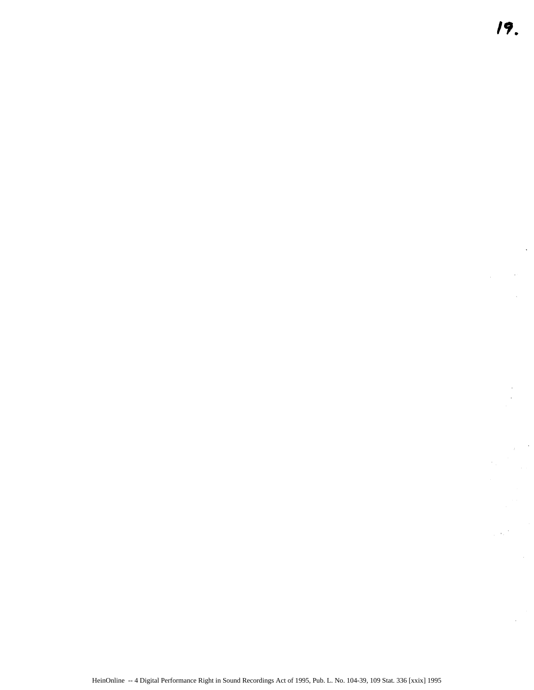l,

 $\sim$   $\sim$